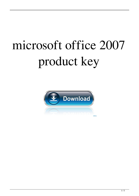## microsoft office 2007 product key